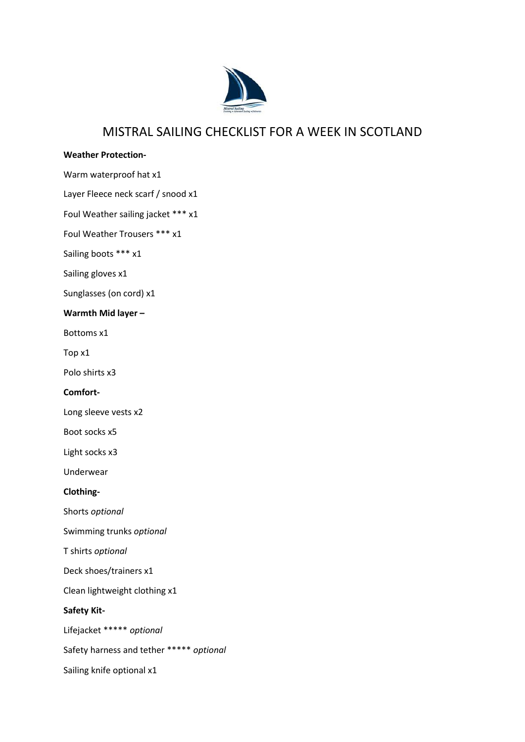

## MISTRAL SAILING CHECKLIST FOR A WEEK IN SCOTLAND

## **Weather Protection-**

Warm waterproof hat x1

Layer Fleece neck scarf / snood x1

Foul Weather sailing jacket \*\*\* x1

Foul Weather Trousers \*\*\* x1

Sailing boots \*\*\* x1

Sailing gloves x1

Sunglasses (on cord) x1

**Warmth Mid layer –**

Bottoms x1

Top x1

Polo shirts x3

**Comfort-**

Long sleeve vests x2

Boot socks x5

Light socks x3

Underwear

**Clothing-**

Shorts *optional*

Swimming trunks *optional*

T shirts *optional*

Deck shoes/trainers x1

Clean lightweight clothing x1

**Safety Kit-**

Lifejacket \*\*\*\*\* *optional*

Safety harness and tether \*\*\*\*\* *optional*

Sailing knife optional x1